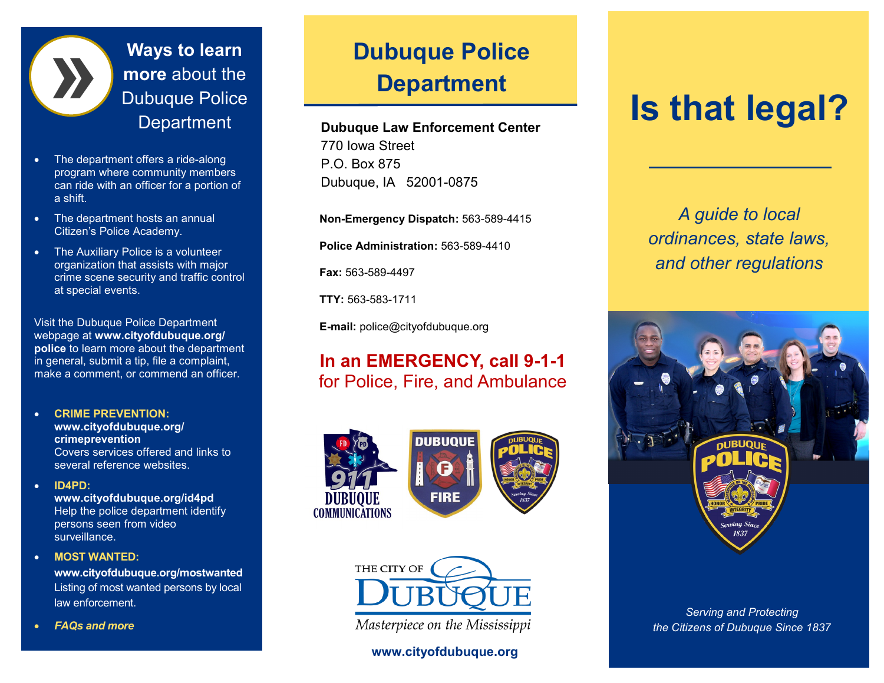

**Ways to learn more** about the Dubuque Police **Department** 

- The department offers a ride-along program where community members can ride with an officer for a portion of a shift.
- The department hosts an annual Citizen's Police Academy.
- The Auxiliary Police is a volunteer organization that assists with major crime scene security and traffic control at special events.

Visit the Dubuque Police Department webpage at **www.cityofdubuque.org/ police** to learn more about the department in general, submit a tip, file a complaint, make a comment, or commend an officer.

### **CRIME PREVENTION: www.cityofdubuque.org/**

**crimeprevention**  Covers services offered and links to several reference websites.

## **ID4PD:**

**www.cityofdubuque.org/id4pd**  Help the police department identify persons seen from video surveillance.

## **MOST WANTED:**

**www.cityofdubuque.org/mostwanted**  Listing of most wanted persons by local law enforcement.

*FAQs and more*

## **Dubuque Police Department**

## **Dubuque Law Enforcement Center**

770 Iowa Street P.O. Box 875 Dubuque, IA 52001-0875

**Non-Emergency Dispatch:** 563-589-4415

**Police Administration:** 563-589-4410

**Fax:** 563-589-4497

**TTY:** 563-583-1711

**E-mail:** police@cityofdubuque.org

## **In an EMERGENCY, call 9-1-1** for Police, Fire, and Ambulance





Masterpiece on the Mississippi

## **www.cityofdubuque.org**

# **Is that legal?**

*A guide to local ordinances, state laws, and other regulations*



*Serving and Protecting the Citizens of Dubuque Since 1837*